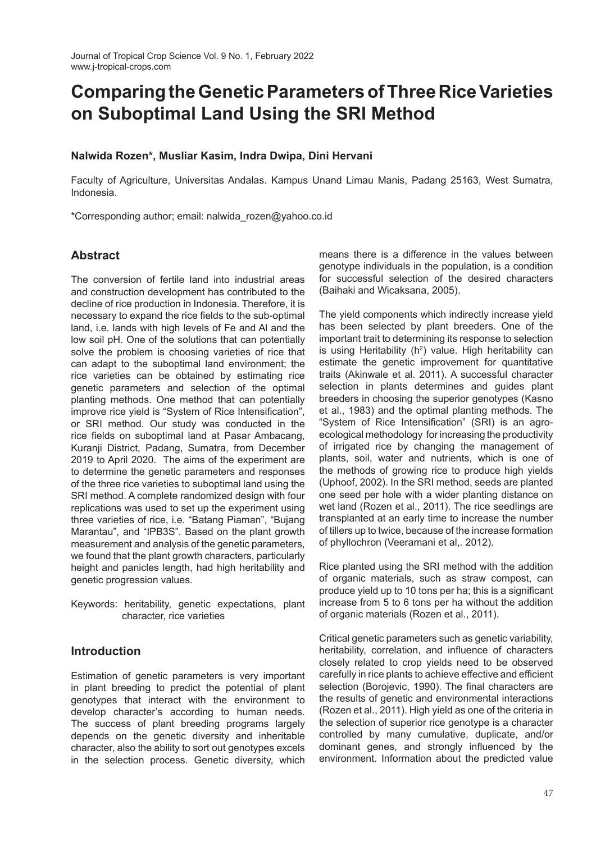# **Comparing the Genetic Parameters of Three Rice Varieties on Suboptimal Land Using the SRI Method**

# **Nalwida Rozen\*, Musliar Kasim, Indra Dwipa, Dini Hervani**

Faculty of Agriculture, Universitas Andalas. Kampus Unand Limau Manis, Padang 25163, West Sumatra, Indonesia.

\*Corresponding author; email: nalwida\_rozen@yahoo.co.id

# **Abstract**

The conversion of fertile land into industrial areas and construction development has contributed to the decline of rice production in Indonesia. Therefore, it is necessary to expand the rice fields to the sub-optimal land, i.e. lands with high levels of Fe and Al and the low soil pH. One of the solutions that can potentially solve the problem is choosing varieties of rice that can adapt to the suboptimal land environment; the rice varieties can be obtained by estimating rice genetic parameters and selection of the optimal planting methods. One method that can potentially improve rice yield is "System of Rice Intensification", or SRI method. Our study was conducted in the rice fields on suboptimal land at Pasar Ambacang, Kuranji District, Padang, Sumatra, from December 2019 to April 2020. The aims of the experiment are to determine the genetic parameters and responses of the three rice varieties to suboptimal land using the SRI method. A complete randomized design with four replications was used to set up the experiment using three varieties of rice, i.e. "Batang Piaman", "Bujang Marantau", and "IPB3S". Based on the plant growth measurement and analysis of the genetic parameters, we found that the plant growth characters, particularly height and panicles length, had high heritability and genetic progression values.

Keywords: heritability, genetic expectations, plant character, rice varieties

# **Introduction**

Estimation of genetic parameters is very important in plant breeding to predict the potential of plant genotypes that interact with the environment to develop character's according to human needs. The success of plant breeding programs largely depends on the genetic diversity and inheritable character, also the ability to sort out genotypes excels in the selection process. Genetic diversity, which

means there is a difference in the values between genotype individuals in the population, is a condition for successful selection of the desired characters (Baihaki and Wicaksana, 2005).

The yield components which indirectly increase yield has been selected by plant breeders. One of the important trait to determining its response to selection is using Heritability ( $h^2$ ) value. High heritability can estimate the genetic improvement for quantitative traits (Akinwale et al. 2011). A successful character selection in plants determines and guides plant breeders in choosing the superior genotypes (Kasno et al., 1983) and the optimal planting methods. The "System of Rice Intensification" (SRI) is an agroecological methodology for increasing the productivity of irrigated rice by changing the management of plants, soil, water and nutrients, which is one of the methods of growing rice to produce high yields (Uphoof, 2002). In the SRI method, seeds are planted one seed per hole with a wider planting distance on wet land (Rozen et al., 2011). The rice seedlings are transplanted at an early time to increase the number of tillers up to twice, because of the increase formation of phyllochron (Veeramani et al,. 2012).

Rice planted using the SRI method with the addition of organic materials, such as straw compost, can produce yield up to 10 tons per ha; this is a significant increase from 5 to 6 tons per ha without the addition of organic materials (Rozen et al., 2011).

Critical genetic parameters such as genetic variability, heritability, correlation, and influence of characters closely related to crop yields need to be observed carefully in rice plants to achieve effective and efficient selection (Borojevic, 1990). The final characters are the results of genetic and environmental interactions (Rozen et al., 2011). High yield as one of the criteria in the selection of superior rice genotype is a character controlled by many cumulative, duplicate, and/or dominant genes, and strongly influenced by the environment. Information about the predicted value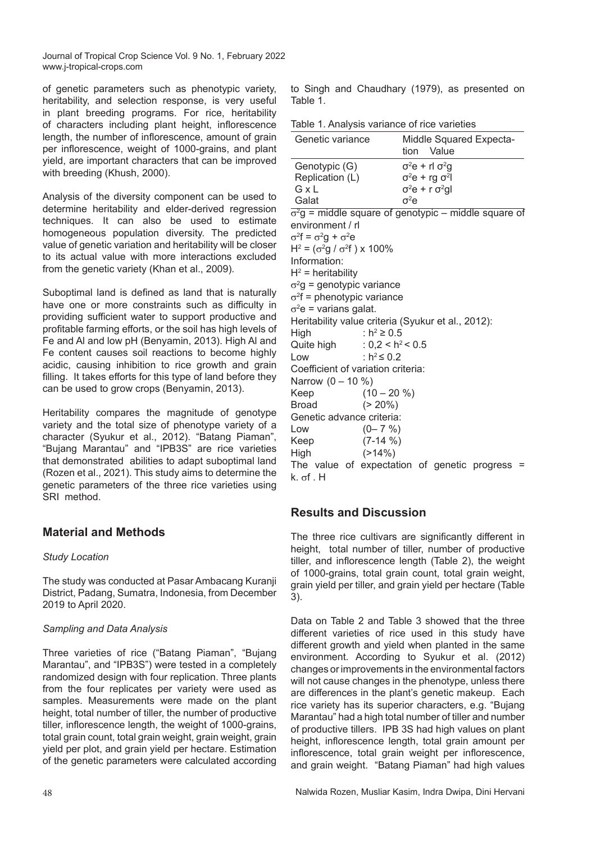of genetic parameters such as phenotypic variety, heritability, and selection response, is very useful in plant breeding programs. For rice, heritability of characters including plant height, inflorescence length, the number of inflorescence, amount of grain per inflorescence, weight of 1000-grains, and plant yield, are important characters that can be improved with breeding (Khush, 2000).

Analysis of the diversity component can be used to determine heritability and elder-derived regression techniques. It can also be used to estimate homogeneous population diversity. The predicted value of genetic variation and heritability will be closer to its actual value with more interactions excluded from the genetic variety (Khan et al., 2009).

Suboptimal land is defined as land that is naturally have one or more constraints such as difficulty in providing sufficient water to support productive and profitable farming efforts, or the soil has high levels of Fe and Al and low pH (Benyamin, 2013). High Al and Fe content causes soil reactions to become highly acidic, causing inhibition to rice growth and grain filling. It takes efforts for this type of land before they can be used to grow crops (Benyamin, 2013).

Heritability compares the magnitude of genotype variety and the total size of phenotype variety of a character (Syukur et al., 2012). "Batang Piaman", "Bujang Marantau" and "IPB3S" are rice varieties that demonstrated abilities to adapt suboptimal land (Rozen et al., 2021). This study aims to determine the genetic parameters of the three rice varieties using SRI method.

# **Material and Methods**

#### *Study Location*

The study was conducted at Pasar Ambacang Kuranji District, Padang, Sumatra, Indonesia, from December 2019 to April 2020.

#### *Sampling and Data Analysis*

Three varieties of rice ("Batang Piaman", "Bujang Marantau", and "IPB3S") were tested in a completely randomized design with four replication. Three plants from the four replicates per variety were used as samples. Measurements were made on the plant height, total number of tiller, the number of productive tiller, inflorescence length, the weight of 1000-grains, total grain count, total grain weight, grain weight, grain yield per plot, and grain yield per hectare. Estimation of the genetic parameters were calculated according to Singh and Chaudhary (1979), as presented on Table 1.

Table 1. Analysis variance of rice varieties

| Genetic variance                                  | Middle Squared Expecta-<br>Value<br>tion                     |
|---------------------------------------------------|--------------------------------------------------------------|
| Genotypic (G)                                     | $\sigma^2 e$ + rl $\sigma^2 g$                               |
| Replication (L)                                   | $\sigma^2 e$ + rg $\sigma^2$                                 |
| G x L                                             | $\sigma^2 e$ + r $\sigma^2$ gl                               |
| Galat                                             | $\sigma^2$ e                                                 |
|                                                   | $\sigma^2$ g = middle square of genotypic – middle square of |
| environment / rl                                  |                                                              |
| $\sigma^2 f = \sigma^2 g + \sigma^2 e$            |                                                              |
| $H^2 = (\sigma^2 g / \sigma^2 f) \times 100\%$    |                                                              |
| Information:                                      |                                                              |
| $H^2$ = heritability                              |                                                              |
| $\sigma^2$ g = genotypic variance                 |                                                              |
| $\sigma^2 f$ = phenotypic variance                |                                                              |
| $\sigma^2$ e = varians galat.                     |                                                              |
| Heritability value criteria (Syukur et al. 2012): |                                                              |

Heritability value criteria (Syukur et al., 2012):

High :  $h^2$  ≥ 0.5 Quite high :  $0.2 < h^2 < 0.5$ Low :  $h^2 \leq 0.2$ Coefficient of variation criteria: Narrow  $(0 - 10 \%)$ Keep  $(10 - 20 \%)$ Broad (> 20%) Genetic advance criteria: Low  $(0 - 7 \%)$ Keep (7-14 %) High (>14%) The value of expectation of genetic progress =

# **Results and Discussion**

k. σf . H

The three rice cultivars are significantly different in height, total number of tiller, number of productive tiller, and inflorescence length (Table 2), the weight of 1000-grains, total grain count, total grain weight, grain yield per tiller, and grain yield per hectare (Table 3).

Data on Table 2 and Table 3 showed that the three different varieties of rice used in this study have different growth and yield when planted in the same environment. According to Syukur et al. (2012) changes or improvements in the environmental factors will not cause changes in the phenotype, unless there are differences in the plant's genetic makeup. Each rice variety has its superior characters, e.g. "Bujang Marantau" had a high total number of tiller and number of productive tillers. IPB 3S had high values on plant height, inflorescence length, total grain amount per inflorescence, total grain weight per inflorescence, and grain weight. "Batang Piaman" had high values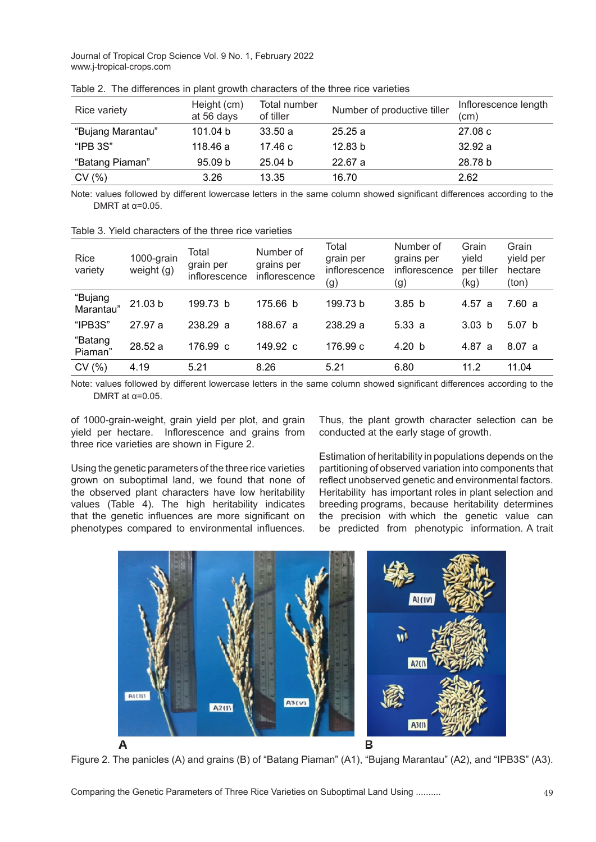| Rice variety      | Height (cm)<br>at 56 days | Total number<br>of tiller | Number of productive tiller | Inflorescence length<br>(cm) |  |
|-------------------|---------------------------|---------------------------|-----------------------------|------------------------------|--|
| "Bujang Marantau" | 101.04 b                  | 33.50a                    | 25.25a                      | 27.08c                       |  |
| "IPB 3S"          | 118.46 a                  | 17.46 c                   | 12.83 b                     | 32.92a                       |  |
| "Batang Piaman"   | 95.09 b                   | 25.04 b                   | 22.67a                      | 28.78 b                      |  |
| CV(%)             | 3.26                      | 13.35                     | 16.70                       | 2.62                         |  |

Table 2. The differences in plant growth characters of the three rice varieties

Note: values followed by different lowercase letters in the same column showed significant differences according to the DMRT at  $\alpha$ =0.05.

| Rice<br>variety      | 1000-grain<br>weight (g) | Total<br>grain per<br>inflorescence | Number of<br>grains per<br>inflorescence | Total<br>grain per<br>inflorescence<br>(g) | Number of<br>grains per<br>inflorescence<br>(g) | Grain<br>yield<br>per tiller<br>(kg) | Grain<br>yield per<br>hectare<br>(ton) |
|----------------------|--------------------------|-------------------------------------|------------------------------------------|--------------------------------------------|-------------------------------------------------|--------------------------------------|----------------------------------------|
| "Bujang<br>Marantau" | 21.03 b                  | 199.73 b                            | 175.66 b                                 | 199.73 b                                   | 3.85 <sub>b</sub>                               | 4.57a                                | 7.60 a                                 |
| "IPB3S"              | 27.97 a                  | 238.29 a                            | 188.67 a                                 | 238.29 a                                   | 5.33a                                           | 3.03 <sub>b</sub>                    | 5.07 <sub>b</sub>                      |
| "Batang<br>Piaman"   | 28.52 a                  | 176.99 c                            | 149.92 c                                 | 176.99 c                                   | 4.20 b                                          | 4.87 a                               | 8.07a                                  |
| CV(%)                | 4.19                     | 5.21                                | 8.26                                     | 5.21                                       | 6.80                                            | 11.2                                 | 11.04                                  |
|                      |                          |                                     |                                          |                                            |                                                 |                                      |                                        |

Table 3. Yield characters of the three rice varieties

Note: values followed by different lowercase letters in the same column showed significant differences according to the DMRT at  $\alpha$ =0.05.

of 1000-grain-weight, grain yield per plot, and grain yield per hectare. Inflorescence and grains from three rice varieties are shown in Figure 2.

Using the genetic parameters of the three rice varieties grown on suboptimal land, we found that none of the observed plant characters have low heritability values (Table 4). The high heritability indicates that the genetic influences are more significant on phenotypes compared to environmental influences.

Thus, the plant growth character selection can be conducted at the early stage of growth.

Estimation of heritability in populations depends on the partitioning of observed variation into components that reflect unobserved genetic and environmental factors. Heritability has important roles in plant selection and breeding programs, because heritability determines the precision with which the genetic value can be predicted from phenotypic information. A trait



Figure 2. The panicles (A) and grains (B) of "Batang Piaman" (A1), "Bujang Marantau" (A2), and "IPB3S" (A3).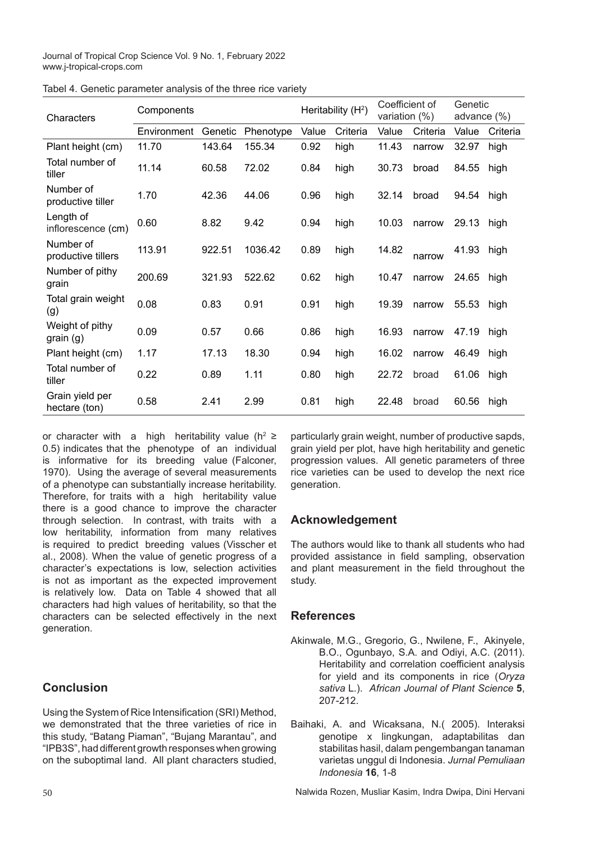| Characters                       | Components  |         | Heritability (H <sup>2</sup> ) |       | Coefficient of<br>variation (%) |       | Genetic<br>advance (%) |       |          |
|----------------------------------|-------------|---------|--------------------------------|-------|---------------------------------|-------|------------------------|-------|----------|
|                                  | Environment | Genetic | Phenotype                      | Value | Criteria                        | Value | Criteria               | Value | Criteria |
| Plant height (cm)                | 11.70       | 143.64  | 155.34                         | 0.92  | high                            | 11.43 | narrow                 | 32.97 | high     |
| Total number of<br>tiller        | 11.14       | 60.58   | 72.02                          | 0.84  | high                            | 30.73 | broad                  | 84.55 | high     |
| Number of<br>productive tiller   | 1.70        | 42.36   | 44.06                          | 0.96  | high                            | 32.14 | broad                  | 94.54 | high     |
| Length of<br>inflorescence (cm)  | 0.60        | 8.82    | 9.42                           | 0.94  | high                            | 10.03 | narrow                 | 29.13 | high     |
| Number of<br>productive tillers  | 113.91      | 922.51  | 1036.42                        | 0.89  | high                            | 14.82 | narrow                 | 41.93 | high     |
| Number of pithy<br>grain         | 200.69      | 321.93  | 522.62                         | 0.62  | high                            | 10.47 | narrow                 | 24.65 | high     |
| Total grain weight<br>(g)        | 0.08        | 0.83    | 0.91                           | 0.91  | high                            | 19.39 | narrow                 | 55.53 | high     |
| Weight of pithy<br>grain (g)     | 0.09        | 0.57    | 0.66                           | 0.86  | high                            | 16.93 | narrow                 | 47.19 | high     |
| Plant height (cm)                | 1.17        | 17.13   | 18.30                          | 0.94  | high                            | 16.02 | narrow                 | 46.49 | high     |
| Total number of<br>tiller        | 0.22        | 0.89    | 1.11                           | 0.80  | high                            | 22.72 | broad                  | 61.06 | high     |
| Grain yield per<br>hectare (ton) | 0.58        | 2.41    | 2.99                           | 0.81  | high                            | 22.48 | broad                  | 60.56 | high     |

Tabel 4. Genetic parameter analysis of the three rice variety

or character with a high heritability value (h<sup>2</sup> ≥ 0.5) indicates that the phenotype of an individual is informative for its breeding value (Falconer, 1970). Using the average of several measurements of a phenotype can substantially increase heritability. Therefore, for traits with a high heritability value there is a good chance to improve the character through selection. In contrast, with traits with a low heritability, information from many relatives is required to predict breeding values (Visscher et al., 2008). When the value of genetic progress of a character's expectations is low, selection activities is not as important as the expected improvement is relatively low. Data on Table 4 showed that all characters had high values of heritability, so that the characters can be selected effectively in the next generation.

# **Conclusion**

Using the System of Rice Intensification (SRI) Method, we demonstrated that the three varieties of rice in this study, "Batang Piaman", "Bujang Marantau", and "IPB3S", had different growth responses when growing on the suboptimal land. All plant characters studied,

particularly grain weight, number of productive sapds, grain yield per plot, have high heritability and genetic progression values. All genetic parameters of three rice varieties can be used to develop the next rice generation.

# **Acknowledgement**

The authors would like to thank all students who had provided assistance in field sampling, observation and plant measurement in the field throughout the study.

# **References**

- Akinwale, M.G., Gregorio, G., Nwilene, F., Akinyele, B.O., Ogunbayo, S.A. and Odiyi, A.C. (2011). Heritability and correlation coefficient analysis for yield and its components in rice (*Oryza sativa* L.). *African Journal of Plant Science* **5**, 207-212.
- Baihaki, A. and Wicaksana, N.( 2005). Interaksi genotipe x lingkungan, adaptabilitas dan stabilitas hasil, dalam pengembangan tanaman varietas unggul di Indonesia. *Jurnal Pemuliaan Indonesia* **16**, 1-8